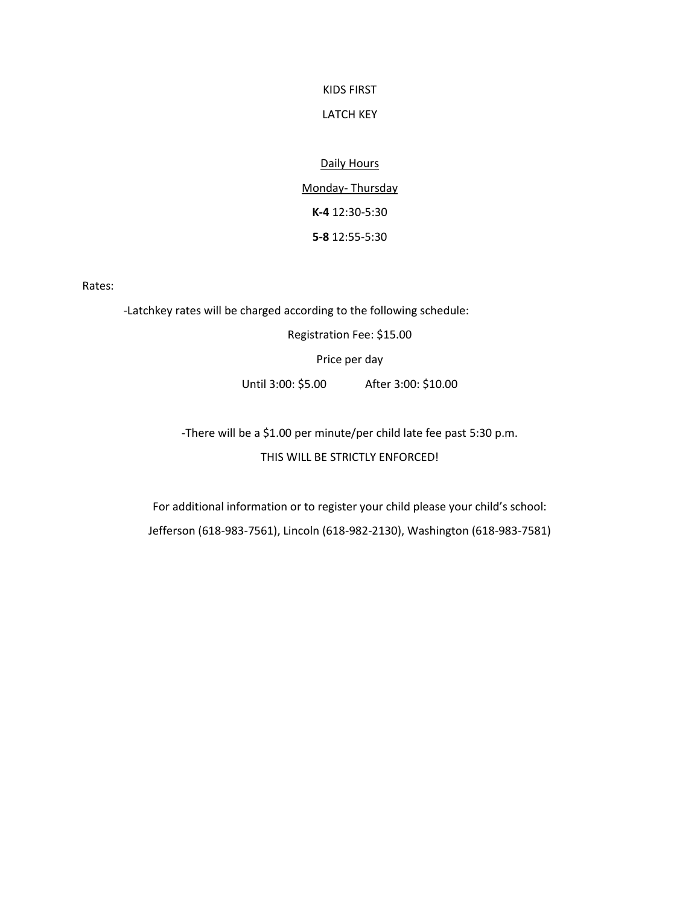## KIDS FIRST

## LATCH KEY

# Daily Hours

Monday- Thursday **K-4** 12:30-5:30 **5-8** 12:55-5:30

Rates:

-Latchkey rates will be charged according to the following schedule: Registration Fee: \$15.00 Price per day Until 3:00: \$5.00 After 3:00: \$10.00

> -There will be a \$1.00 per minute/per child late fee past 5:30 p.m. THIS WILL BE STRICTLY ENFORCED!

For additional information or to register your child please your child's school: Jefferson (618-983-7561), Lincoln (618-982-2130), Washington (618-983-7581)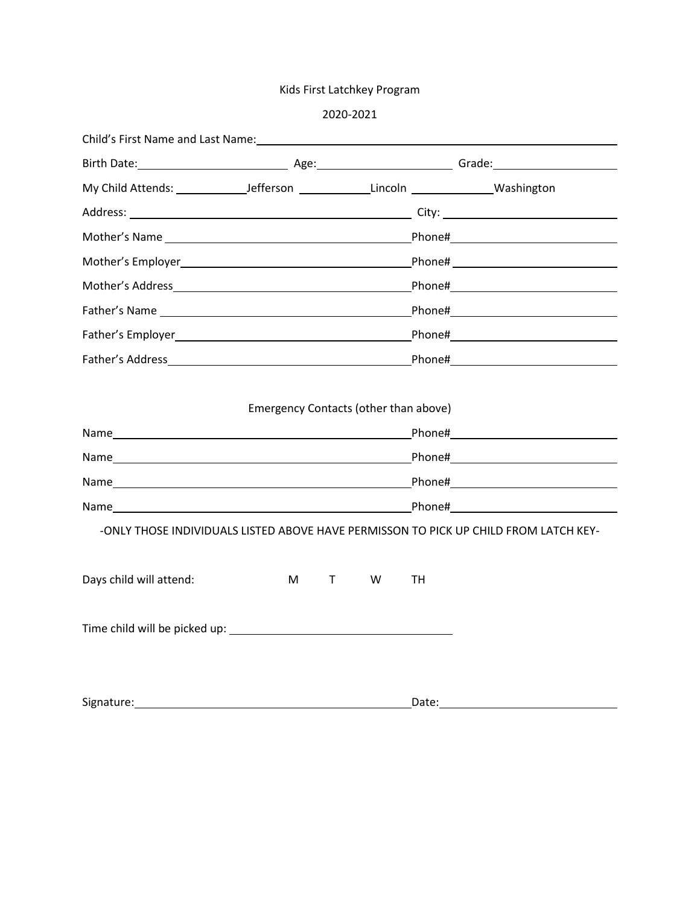# Kids First Latchkey Program

|                         |                                       |    |   |       | Mother's Employer and the control of the control of the Phone#                                                                                                                                                                      |
|-------------------------|---------------------------------------|----|---|-------|-------------------------------------------------------------------------------------------------------------------------------------------------------------------------------------------------------------------------------------|
|                         |                                       |    |   |       | Mother's Address and the control of the control of the control of the control of the control of the control of                                                                                                                      |
|                         |                                       |    |   |       |                                                                                                                                                                                                                                     |
|                         |                                       |    |   |       | Father's Employer <b>Example 2018</b> 2019 12:30 The Phone 2019 12:30 The Phone 2019 12:30 The Phone 2019 12:30 The 2019 12:30 The 2019 12:30 The 2019 12:30 The 2019 12:30 The 2019 12:30 The 2019 12:30 The 2019 12:30 The 2019 1 |
|                         |                                       |    |   |       |                                                                                                                                                                                                                                     |
|                         | Emergency Contacts (other than above) |    |   |       | -ONLY THOSE INDIVIDUALS LISTED ABOVE HAVE PERMISSON TO PICK UP CHILD FROM LATCH KEY-                                                                                                                                                |
| Days child will attend: | M                                     | T. | W | TН    |                                                                                                                                                                                                                                     |
|                         |                                       |    |   |       |                                                                                                                                                                                                                                     |
| Signature:              |                                       |    |   | Date: |                                                                                                                                                                                                                                     |